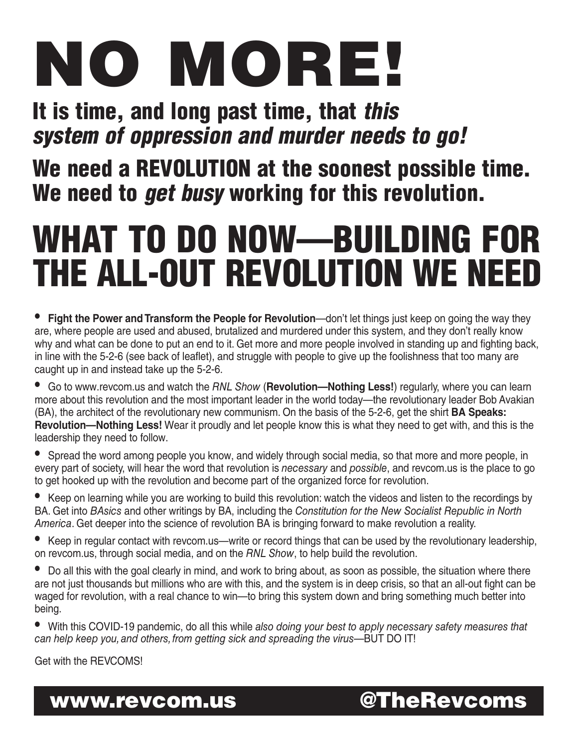# NO MORE!

## It is time, and long past time, that this system of oppression and murder needs to go!

### We need a REVOLUTION at the soonest possible time. We need to *get busy* working for this revolution.

# WHAT TO DO NOW—BUILDING FOR THE ALL-OUT REVOLUTION WE NEED

- **Fight the Power and Transform the People for Revolution**—don't let things just keep on going the way they are, where people are used and abused, brutalized and murdered under this system, and they don't really know why and what can be done to put an end to it. Get more and more people involved in standing up and fighting back, in line with the 5-2-6 (see back of leaflet), and struggle with people to give up the foolishness that too many are caught up in and instead take up the 5-2-6.
- Go to www.revcom.us and watch the *RNL Show* (**Revolution—Nothing Less!**) regularly, where you can learn more about this revolution and the most important leader in the world today—the revolutionary leader Bob Avakian (BA), the architect of the revolutionary new communism. On the basis of the 5-2-6, get the shirt **BA Speaks: Revolution—Nothing Less!** Wear it proudly and let people know this is what they need to get with, and this is the leadership they need to follow.
- Spread the word among people you know, and widely through social media, so that more and more people, in every part of society, will hear the word that revolution is *necessary* and *possible*, and revcom.us is the place to go to get hooked up with the revolution and become part of the organized force for revolution.
- Keep on learning while you are working to build this revolution: watch the videos and listen to the recordings by BA. Get into *BAsics* and other writings by BA, including the *Constitution for the New Socialist Republic in North America*. Get deeper into the science of revolution BA is bringing forward to make revolution a reality.
- Keep in regular contact with revcom.us—write or record things that can be used by the revolutionary leadership, on revcom.us, through social media, and on the *RNL Show*, to help build the revolution.
- Do all this with the goal clearly in mind, and work to bring about, as soon as possible, the situation where there are not just thousands but millions who are with this, and the system is in deep crisis, so that an all-out fight can be waged for revolution, with a real chance to win—to bring this system down and bring something much better into being.
- With this COVID-19 pandemic, do all this while *also doing your best to apply necessary safety measures that can help keep you,and others, from getting sick and spreading the virus*—BUT DO IT!

Get with the REVCOMS!

www.revcom.us @TheRevcoms